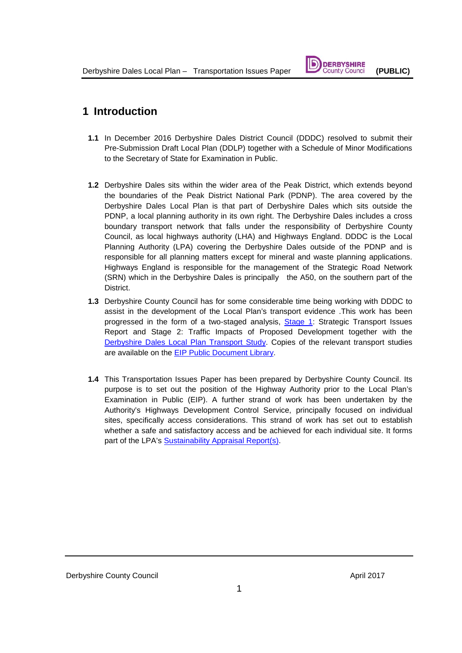# **DERBYSHIRE**

## **1 Introduction**

- **1.1** In December 2016 Derbyshire Dales District Council (DDDC) resolved to submit their Pre-Submission Draft Local Plan (DDLP) together with a Schedule of Minor Modifications to the Secretary of State for Examination in Public.
- **1.2** Derbyshire Dales sits within the wider area of the Peak District, which extends beyond the boundaries of the Peak District National Park (PDNP). The area covered by the Derbyshire Dales Local Plan is that part of Derbyshire Dales which sits outside the PDNP, a local planning authority in its own right. The Derbyshire Dales includes a cross boundary transport network that falls under the responsibility of Derbyshire County Council, as local highways authority (LHA) and Highways England. DDDC is the Local Planning Authority (LPA) covering the Derbyshire Dales outside of the PDNP and is responsible for all planning matters except for mineral and waste planning applications. Highways England is responsible for the management of the Strategic Road Network (SRN) which in the Derbyshire Dales is principally the A50, on the southern part of the District.
- **1.3** Derbyshire County Council has for some considerable time being working with DDDC to assist in the development of the Local Plan's transport evidence .This work has been progressed in the form of a two-staged analysis, [Stage 1:](http://www.derbyshiredales.gov.uk/images/documents/S/Strategic%20transport%20issues%20report.pdf) Strategic Transport Issues Report and Stage 2: Traffic Impacts of Proposed Development together with the [Derbyshire Dales Local Plan](http://www.derbyshiredales.gov.uk/images/documents/L/Local%20Plan%20Examination%20Library/CD34%20Derbyshire%20Dales%20Transport%20Report%20Update%20(Final)%20December%202016.pdf) Transport Study. Copies of the relevant transport studies are available on the [EIP Public Document Library.](http://www.derbyshiredales.gov.uk/planning-a-building-control/local-plan-2015-16/2402-examination-library)
- **1.4** This Transportation Issues Paper has been prepared by Derbyshire County Council. Its purpose is to set out the position of the Highway Authority prior to the Local Plan's Examination in Public (EIP). A further strand of work has been undertaken by the Authority's Highways Development Control Service, principally focused on individual sites, specifically access considerations. This strand of work has set out to establish whether a safe and satisfactory access and be achieved for each individual site. It forms part of the LPA's [Sustainability Appraisal Report\(s\).](http://www.derbyshiredales.gov.uk/images/documents/L/Local%20Plan%20Examination%20Library/CD04%20Sustainability%20Appraisal%20Report%20Appendices%20August%202016.pdf)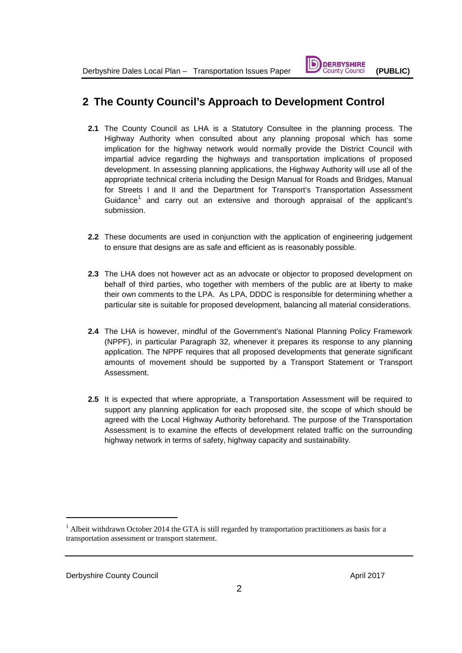## **2 The County Council's Approach to Development Control**

- **2.1** The County Council as LHA is a Statutory Consultee in the planning process. The Highway Authority when consulted about any planning proposal which has some implication for the highway network would normally provide the District Council with impartial advice regarding the highways and transportation implications of proposed development. In assessing planning applications, the Highway Authority will use all of the appropriate technical criteria including the Design Manual for Roads and Bridges, Manual for Streets I and II and the Department for Transport's Transportation Assessment Guidance<sup>[1](#page-1-0)</sup> and carry out an extensive and thorough appraisal of the applicant's submission.
- **2.2** These documents are used in conjunction with the application of engineering judgement to ensure that designs are as safe and efficient as is reasonably possible.
- **2.3** The LHA does not however act as an advocate or objector to proposed development on behalf of third parties, who together with members of the public are at liberty to make their own comments to the LPA. As LPA, DDDC is responsible for determining whether a particular site is suitable for proposed development, balancing all material considerations.
- **2.4** The LHA is however, mindful of the Government's National Planning Policy Framework (NPPF), in particular Paragraph 32, whenever it prepares its response to any planning application. The NPPF requires that all proposed developments that generate significant amounts of movement should be supported by a Transport Statement or Transport Assessment.
- **2.5** It is expected that where appropriate, a Transportation Assessment will be required to support any planning application for each proposed site, the scope of which should be agreed with the Local Highway Authority beforehand. The purpose of the Transportation Assessment is to examine the effects of development related traffic on the surrounding highway network in terms of safety, highway capacity and sustainability.

-

<span id="page-1-0"></span> $1$  Albeit withdrawn October 2014 the GTA is still regarded by transportation practitioners as basis for a transportation assessment or transport statement.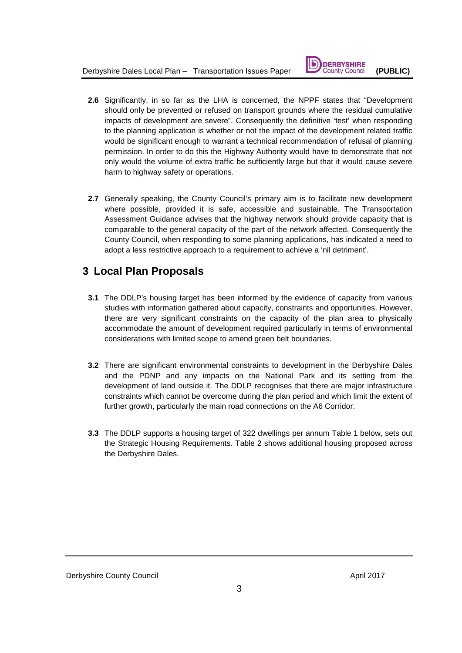

- **2.6** Significantly, in so far as the LHA is concerned, the NPPF states that "Development should only be prevented or refused on transport grounds where the residual cumulative impacts of development are severe". Consequently the definitive 'test' when responding to the planning application is whether or not the impact of the development related traffic would be significant enough to warrant a technical recommendation of refusal of planning permission. In order to do this the Highway Authority would have to demonstrate that not only would the volume of extra traffic be sufficiently large but that it would cause severe harm to highway safety or operations.
- **2.7** Generally speaking, the County Council's primary aim is to facilitate new development where possible, provided it is safe, accessible and sustainable. The Transportation Assessment Guidance advises that the highway network should provide capacity that is comparable to the general capacity of the part of the network affected. Consequently the County Council, when responding to some planning applications, has indicated a need to adopt a less restrictive approach to a requirement to achieve a 'nil detriment'.

## **3 Local Plan Proposals**

- **3.1** The DDLP's housing target has been informed by the evidence of capacity from various studies with information gathered about capacity, constraints and opportunities. However, there are very significant constraints on the capacity of the plan area to physically accommodate the amount of development required particularly in terms of environmental considerations with limited scope to amend green belt boundaries.
- **3.2** There are significant environmental constraints to development in the Derbyshire Dales and the PDNP and any impacts on the National Park and its setting from the development of land outside it. The DDLP recognises that there are major infrastructure constraints which cannot be overcome during the plan period and which limit the extent of further growth, particularly the main road connections on the A6 Corridor.
- **3.3** The DDLP supports a housing target of 322 dwellings per annum Table 1 below, sets out the Strategic Housing Requirements. Table 2 shows additional housing proposed across the Derbyshire Dales.

Derbyshire County Council and the Council April 2017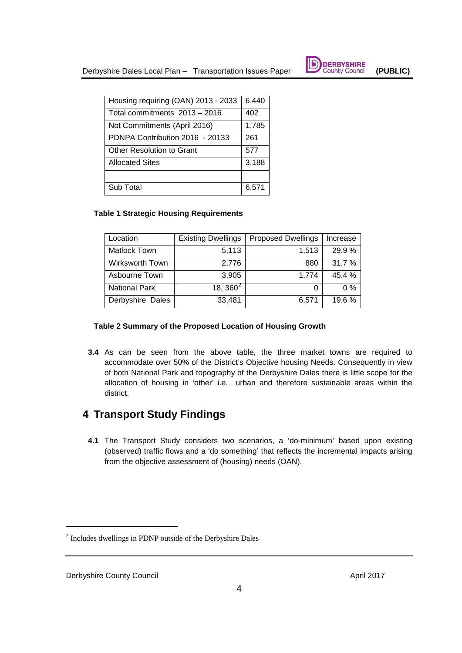

| Housing requiring (OAN) 2013 - 2033 | 6,440 |
|-------------------------------------|-------|
| Total commitments 2013 - 2016       | 402   |
| Not Commitments (April 2016)        | 1,785 |
| PDNPA Contribution 2016 - 20133     | 261   |
| Other Resolution to Grant           | 577   |
| <b>Allocated Sites</b>              | 3,188 |
|                                     |       |
| Sub Total                           | 6,571 |

#### **Table 1 Strategic Housing Requirements**

| Location             | <b>Existing Dwellings</b> | <b>Proposed Dwellings</b> | Increase |
|----------------------|---------------------------|---------------------------|----------|
| Matlock Town         | 5,113                     | 1,513                     | 29.9%    |
| Wirksworth Town      | 2,776                     | 880                       | 31.7 %   |
| Asbourne Town        | 3,905                     | 1,774                     | 45.4 %   |
| <b>National Park</b> | 18, $360^2$               |                           | $0\%$    |
| Derbyshire Dales     | 33,481                    | 6,571                     | 19.6%    |

### **Table 2 Summary of the Proposed Location of Housing Growth**

**3.4** As can be seen from the above table, the three market towns are required to accommodate over 50% of the District's Objective housing Needs. Consequently in view of both National Park and topography of the Derbyshire Dales there is little scope for the allocation of housing in 'other' i.e. urban and therefore sustainable areas within the district.

## **4 Transport Study Findings**

**4.1** The Transport Study considers two scenarios, a 'do-minimum' based upon existing (observed) traffic flows and a 'do something' that reflects the incremental impacts arising from the objective assessment of (housing) needs (OAN).

-

<span id="page-3-0"></span><sup>2</sup> Includes dwellings in PDNP outside of the Derbyshire Dales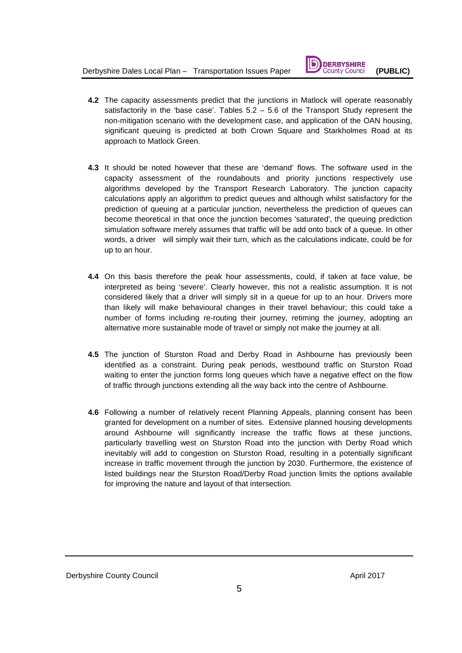

- **4.2** The capacity assessments predict that the junctions in Matlock will operate reasonably satisfactorily in the 'base case'. Tables 5.2 – 5.6 of the Transport Study represent the non-mitigation scenario with the development case, and application of the OAN housing, significant queuing is predicted at both Crown Square and Starkholmes Road at its approach to Matlock Green.
- **4.3** It should be noted however that these are 'demand' flows. The software used in the capacity assessment of the roundabouts and priority junctions respectively use algorithms developed by the Transport Research Laboratory. The junction capacity calculations apply an algorithm to predict queues and although whilst satisfactory for the prediction of queuing at a particular junction, nevertheless the prediction of queues can become theoretical in that once the junction becomes 'saturated', the queuing prediction simulation software merely assumes that traffic will be add onto back of a queue. In other words, a driver will simply wait their turn, which as the calculations indicate, could be for up to an hour.
- **4.4** On this basis therefore the peak hour assessments, could, if taken at face value, be interpreted as being 'severe'. Clearly however, this not a realistic assumption. It is not considered likely that a driver will simply sit in a queue for up to an hour. Drivers more than likely will make behavioural changes in their travel behaviour; this could take a number of forms including re-routing their journey, retiming the journey, adopting an alternative more sustainable mode of travel or simply not make the journey at all.
- **4.5** The junction of Sturston Road and Derby Road in Ashbourne has previously been identified as a constraint. During peak periods, westbound traffic on Sturston Road waiting to enter the junction forms long queues which have a negative effect on the flow of traffic through junctions extending all the way back into the centre of Ashbourne.
- **4.6** Following a number of relatively recent Planning Appeals, planning consent has been granted for development on a number of sites. Extensive planned housing developments around Ashbourne will significantly increase the traffic flows at these junctions, particularly travelling west on Sturston Road into the junction with Derby Road which inevitably will add to congestion on Sturston Road, resulting in a potentially significant increase in traffic movement through the junction by 2030. Furthermore, the existence of listed buildings near the Sturston Road/Derby Road junction limits the options available for improving the nature and layout of that intersection.

Derbyshire County Council and the Council April 2017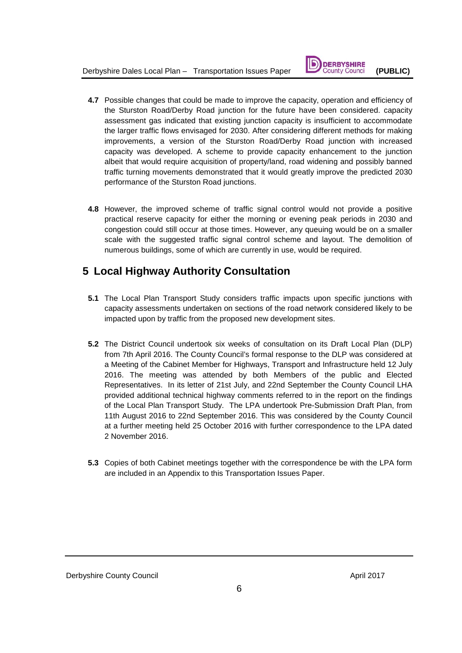

- **4.7** Possible changes that could be made to improve the capacity, operation and efficiency of the Sturston Road/Derby Road junction for the future have been considered. capacity assessment gas indicated that existing junction capacity is insufficient to accommodate the larger traffic flows envisaged for 2030. After considering different methods for making improvements, a version of the Sturston Road/Derby Road junction with increased capacity was developed. A scheme to provide capacity enhancement to the junction albeit that would require acquisition of property/land, road widening and possibly banned traffic turning movements demonstrated that it would greatly improve the predicted 2030 performance of the Sturston Road junctions.
- **4.8** However, the improved scheme of traffic signal control would not provide a positive practical reserve capacity for either the morning or evening peak periods in 2030 and congestion could still occur at those times. However, any queuing would be on a smaller scale with the suggested traffic signal control scheme and layout. The demolition of numerous buildings, some of which are currently in use, would be required.

## **5 Local Highway Authority Consultation**

- **5.1** The Local Plan Transport Study considers traffic impacts upon specific junctions with capacity assessments undertaken on sections of the road network considered likely to be impacted upon by traffic from the proposed new development sites.
- **5.2** The District Council undertook six weeks of consultation on its Draft Local Plan (DLP) from 7th April 2016. The County Council's formal response to the DLP was considered at a Meeting of the Cabinet Member for Highways, Transport and Infrastructure held 12 July 2016. The meeting was attended by both Members of the public and Elected Representatives. In its letter of 21st July, and 22nd September the County Council LHA provided additional technical highway comments referred to in the report on the findings of the Local Plan Transport Study. The LPA undertook Pre-Submission Draft Plan, from 11th August 2016 to 22nd September 2016. This was considered by the County Council at a further meeting held 25 October 2016 with further correspondence to the LPA dated 2 November 2016.
- **5.3** Copies of both Cabinet meetings together with the correspondence be with the LPA form are included in an Appendix to this Transportation Issues Paper.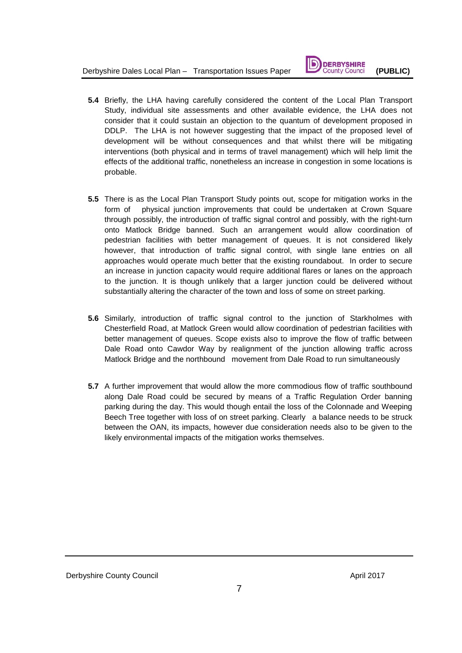

- **5.4** Briefly, the LHA having carefully considered the content of the Local Plan Transport Study, individual site assessments and other available evidence, the LHA does not consider that it could sustain an objection to the quantum of development proposed in DDLP. The LHA is not however suggesting that the impact of the proposed level of development will be without consequences and that whilst there will be mitigating interventions (both physical and in terms of travel management) which will help limit the effects of the additional traffic, nonetheless an increase in congestion in some locations is probable.
- **5.5** There is as the Local Plan Transport Study points out, scope for mitigation works in the form of physical junction improvements that could be undertaken at Crown Square through possibly, the introduction of traffic signal control and possibly, with the right-turn onto Matlock Bridge banned. Such an arrangement would allow coordination of pedestrian facilities with better management of queues. It is not considered likely however, that introduction of traffic signal control, with single lane entries on all approaches would operate much better that the existing roundabout. In order to secure an increase in junction capacity would require additional flares or lanes on the approach to the junction. It is though unlikely that a larger junction could be delivered without substantially altering the character of the town and loss of some on street parking.
- **5.6** Similarly, introduction of traffic signal control to the junction of Starkholmes with Chesterfield Road, at Matlock Green would allow coordination of pedestrian facilities with better management of queues. Scope exists also to improve the flow of traffic between Dale Road onto Cawdor Way by realignment of the junction allowing traffic across Matlock Bridge and the northbound movement from Dale Road to run simultaneously
- **5.7** A further improvement that would allow the more commodious flow of traffic southbound along Dale Road could be secured by means of a Traffic Regulation Order banning parking during the day. This would though entail the loss of the Colonnade and Weeping Beech Tree together with loss of on street parking. Clearly a balance needs to be struck between the OAN, its impacts, however due consideration needs also to be given to the likely environmental impacts of the mitigation works themselves.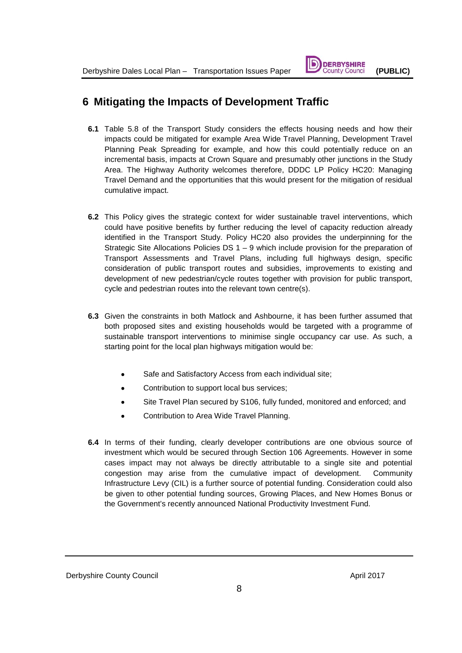

## **6 Mitigating the Impacts of Development Traffic**

- **6.1** Table 5.8 of the Transport Study considers the effects housing needs and how their impacts could be mitigated for example Area Wide Travel Planning, Development Travel Planning Peak Spreading for example, and how this could potentially reduce on an incremental basis, impacts at Crown Square and presumably other junctions in the Study Area. The Highway Authority welcomes therefore, DDDC LP Policy HC20: Managing Travel Demand and the opportunities that this would present for the mitigation of residual cumulative impact.
- **6.2** This Policy gives the strategic context for wider sustainable travel interventions, which could have positive benefits by further reducing the level of capacity reduction already identified in the Transport Study. Policy HC20 also provides the underpinning for the Strategic Site Allocations Policies DS 1 – 9 which include provision for the preparation of Transport Assessments and Travel Plans, including full highways design, specific consideration of public transport routes and subsidies, improvements to existing and development of new pedestrian/cycle routes together with provision for public transport, cycle and pedestrian routes into the relevant town centre(s).
- **6.3** Given the constraints in both Matlock and Ashbourne, it has been further assumed that both proposed sites and existing households would be targeted with a programme of sustainable transport interventions to minimise single occupancy car use. As such, a starting point for the local plan highways mitigation would be:
	- Safe and Satisfactory Access from each individual site;
	- Contribution to support local bus services;
	- Site Travel Plan secured by S106, fully funded, monitored and enforced; and
	- Contribution to Area Wide Travel Planning.
- **6.4** In terms of their funding, clearly developer contributions are one obvious source of investment which would be secured through Section 106 Agreements. However in some cases impact may not always be directly attributable to a single site and potential congestion may arise from the cumulative impact of development. Community Infrastructure Levy (CIL) is a further source of potential funding. Consideration could also be given to other potential funding sources, Growing Places, and New Homes Bonus or the Government's recently announced National Productivity Investment Fund.